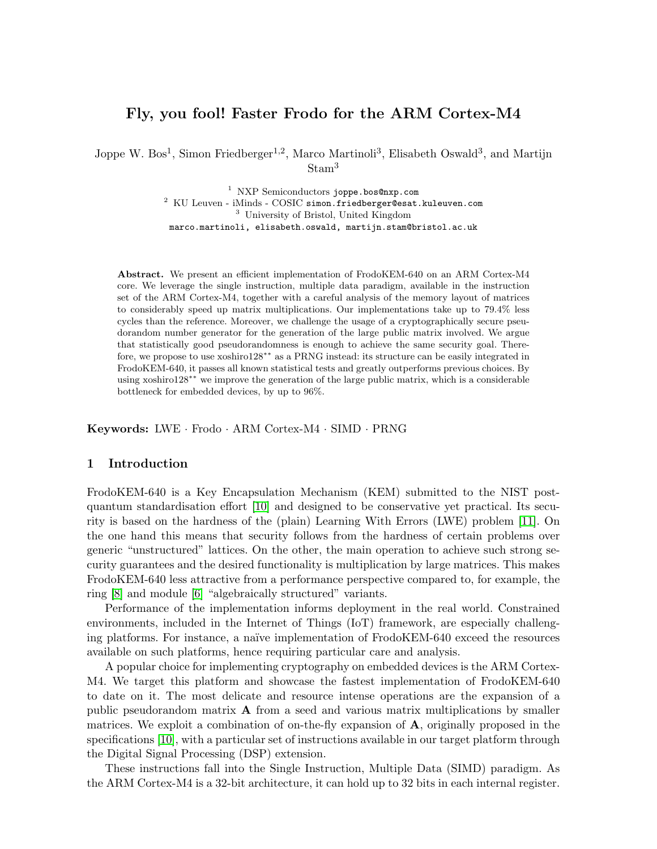# Fly, you fool! Faster Frodo for the ARM Cortex-M4

Joppe W. Bos<sup>1</sup>, Simon Friedberger<sup>1,2</sup>, Marco Martinoli<sup>3</sup>, Elisabeth Oswald<sup>3</sup>, and Martijn Stam<sup>3</sup>

> <sup>1</sup> NXP Semiconductors joppe.bos@nxp.com <sup>2</sup> KU Leuven - iMinds - COSIC simon.friedberger@esat.kuleuven.com <sup>3</sup> University of Bristol, United Kingdom marco.martinoli, elisabeth.oswald, martijn.stam@bristol.ac.uk

Abstract. We present an efficient implementation of FrodoKEM-640 on an ARM Cortex-M4 core. We leverage the single instruction, multiple data paradigm, available in the instruction set of the ARM Cortex-M4, together with a careful analysis of the memory layout of matrices to considerably speed up matrix multiplications. Our implementations take up to 79.4% less cycles than the reference. Moreover, we challenge the usage of a cryptographically secure pseudorandom number generator for the generation of the large public matrix involved. We argue that statistically good pseudorandomness is enough to achieve the same security goal. Therefore, we propose to use xoshiro128∗∗ as a PRNG instead: its structure can be easily integrated in FrodoKEM-640, it passes all known statistical tests and greatly outperforms previous choices. By using xoshiro128∗∗ we improve the generation of the large public matrix, which is a considerable bottleneck for embedded devices, by up to 96%.

Keywords: LWE · Frodo · ARM Cortex-M4 · SIMD · PRNG

### 1 Introduction

FrodoKEM-640 is a Key Encapsulation Mechanism (KEM) submitted to the NIST postquantum standardisation effort [\[10\]](#page-19-0) and designed to be conservative yet practical. Its security is based on the hardness of the (plain) Learning With Errors (LWE) problem [\[11\]](#page-19-1). On the one hand this means that security follows from the hardness of certain problems over generic "unstructured" lattices. On the other, the main operation to achieve such strong security guarantees and the desired functionality is multiplication by large matrices. This makes FrodoKEM-640 less attractive from a performance perspective compared to, for example, the ring [\[8\]](#page-19-2) and module [\[6\]](#page-19-3) "algebraically structured" variants.

Performance of the implementation informs deployment in the real world. Constrained environments, included in the Internet of Things (IoT) framework, are especially challenging platforms. For instance, a naïve implementation of FrodoKEM-640 exceed the resources available on such platforms, hence requiring particular care and analysis.

A popular choice for implementing cryptography on embedded devices is the ARM Cortex-M4. We target this platform and showcase the fastest implementation of FrodoKEM-640 to date on it. The most delicate and resource intense operations are the expansion of a public pseudorandom matrix A from a seed and various matrix multiplications by smaller matrices. We exploit a combination of on-the-fly expansion of A, originally proposed in the specifications [\[10\]](#page-19-0), with a particular set of instructions available in our target platform through the Digital Signal Processing (DSP) extension.

These instructions fall into the Single Instruction, Multiple Data (SIMD) paradigm. As the ARM Cortex-M4 is a 32-bit architecture, it can hold up to 32 bits in each internal register.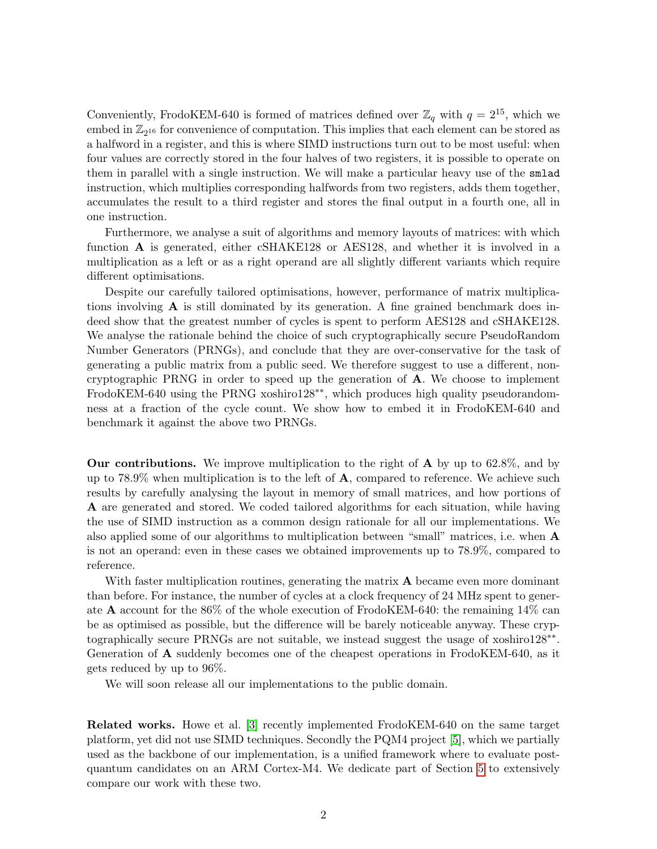Conveniently, FrodoKEM-640 is formed of matrices defined over  $\mathbb{Z}_q$  with  $q = 2^{15}$ , which we embed in  $\mathbb{Z}_{2^{16}}$  for convenience of computation. This implies that each element can be stored as a halfword in a register, and this is where SIMD instructions turn out to be most useful: when four values are correctly stored in the four halves of two registers, it is possible to operate on them in parallel with a single instruction. We will make a particular heavy use of the smlad instruction, which multiplies corresponding halfwords from two registers, adds them together, accumulates the result to a third register and stores the final output in a fourth one, all in one instruction.

Furthermore, we analyse a suit of algorithms and memory layouts of matrices: with which function A is generated, either cSHAKE128 or AES128, and whether it is involved in a multiplication as a left or as a right operand are all slightly different variants which require different optimisations.

Despite our carefully tailored optimisations, however, performance of matrix multiplications involving  $\bf{A}$  is still dominated by its generation. A fine grained benchmark does indeed show that the greatest number of cycles is spent to perform AES128 and cSHAKE128. We analyse the rationale behind the choice of such cryptographically secure PseudoRandom Number Generators (PRNGs), and conclude that they are over-conservative for the task of generating a public matrix from a public seed. We therefore suggest to use a different, noncryptographic PRNG in order to speed up the generation of A. We choose to implement FrodoKEM-640 using the PRNG xoshiro128∗∗, which produces high quality pseudorandomness at a fraction of the cycle count. We show how to embed it in FrodoKEM-640 and benchmark it against the above two PRNGs.

**Our contributions.** We improve multiplication to the right of **A** by up to 62.8%, and by up to 78.9% when multiplication is to the left of  $\mathbf{A}$ , compared to reference. We achieve such results by carefully analysing the layout in memory of small matrices, and how portions of A are generated and stored. We coded tailored algorithms for each situation, while having the use of SIMD instruction as a common design rationale for all our implementations. We also applied some of our algorithms to multiplication between "small" matrices, i.e. when A is not an operand: even in these cases we obtained improvements up to 78.9%, compared to reference.

With faster multiplication routines, generating the matrix  $A$  became even more dominant than before. For instance, the number of cycles at a clock frequency of 24 MHz spent to generate A account for the 86% of the whole execution of FrodoKEM-640: the remaining 14% can be as optimised as possible, but the difference will be barely noticeable anyway. These cryptographically secure PRNGs are not suitable, we instead suggest the usage of xoshiro128<sup>\*\*</sup>. Generation of A suddenly becomes one of the cheapest operations in FrodoKEM-640, as it gets reduced by up to 96%.

We will soon release all our implementations to the public domain.

Related works. Howe et al. [\[3\]](#page-19-4) recently implemented FrodoKEM-640 on the same target platform, yet did not use SIMD techniques. Secondly the PQM4 project [\[5\]](#page-19-5), which we partially used as the backbone of our implementation, is a unified framework where to evaluate postquantum candidates on an ARM Cortex-M4. We dedicate part of Section [5](#page-14-0) to extensively compare our work with these two.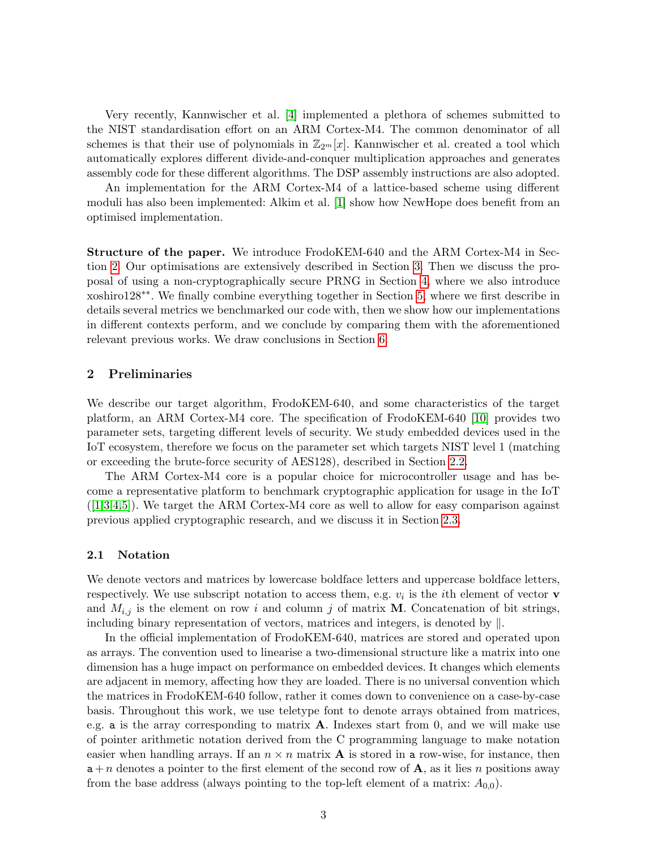Very recently, Kannwischer et al. [\[4\]](#page-19-6) implemented a plethora of schemes submitted to the NIST standardisation effort on an ARM Cortex-M4. The common denominator of all schemes is that their use of polynomials in  $\mathbb{Z}_{2m}[x]$ . Kannwischer et al. created a tool which automatically explores different divide-and-conquer multiplication approaches and generates assembly code for these different algorithms. The DSP assembly instructions are also adopted.

An implementation for the ARM Cortex-M4 of a lattice-based scheme using different moduli has also been implemented: Alkim et al. [\[1\]](#page-19-7) show how NewHope does benefit from an optimised implementation.

Structure of the paper. We introduce FrodoKEM-640 and the ARM Cortex-M4 in Section [2.](#page-2-0) Our optimisations are extensively described in Section [3.](#page-6-0) Then we discuss the proposal of using a non-cryptographically secure PRNG in Section [4,](#page-12-0) where we also introduce xoshiro128∗∗. We finally combine everything together in Section [5,](#page-14-0) where we first describe in details several metrics we benchmarked our code with, then we show how our implementations in different contexts perform, and we conclude by comparing them with the aforementioned relevant previous works. We draw conclusions in Section [6.](#page-18-0)

### <span id="page-2-0"></span>2 Preliminaries

We describe our target algorithm, FrodoKEM-640, and some characteristics of the target platform, an ARM Cortex-M4 core. The specification of FrodoKEM-640 [\[10\]](#page-19-0) provides two parameter sets, targeting different levels of security. We study embedded devices used in the IoT ecosystem, therefore we focus on the parameter set which targets NIST level 1 (matching or exceeding the brute-force security of AES128), described in Section [2.2.](#page-3-0)

The ARM Cortex-M4 core is a popular choice for microcontroller usage and has become a representative platform to benchmark cryptographic application for usage in the IoT  $([1,3,4,5])$  $([1,3,4,5])$  $([1,3,4,5])$  $([1,3,4,5])$  $([1,3,4,5])$  $([1,3,4,5])$ . We target the ARM Cortex-M4 core as well to allow for easy comparison against previous applied cryptographic research, and we discuss it in Section [2.3.](#page-5-0)

### 2.1 Notation

We denote vectors and matrices by lowercase boldface letters and uppercase boldface letters, respectively. We use subscript notation to access them, e.g.  $v_i$  is the *i*th element of vector **v** and  $M_{i,j}$  is the element on row i and column j of matrix **M**. Concatenation of bit strings, including binary representation of vectors, matrices and integers, is denoted by  $\parallel$ .

In the official implementation of FrodoKEM-640, matrices are stored and operated upon as arrays. The convention used to linearise a two-dimensional structure like a matrix into one dimension has a huge impact on performance on embedded devices. It changes which elements are adjacent in memory, affecting how they are loaded. There is no universal convention which the matrices in FrodoKEM-640 follow, rather it comes down to convenience on a case-by-case basis. Throughout this work, we use teletype font to denote arrays obtained from matrices, e.g. a is the array corresponding to matrix  $A$ . Indexes start from 0, and we will make use of pointer arithmetic notation derived from the C programming language to make notation easier when handling arrays. If an  $n \times n$  matrix **A** is stored in a row-wise, for instance, then  $a + n$  denotes a pointer to the first element of the second row of A, as it lies n positions away from the base address (always pointing to the top-left element of a matrix:  $A_{0,0}$ ).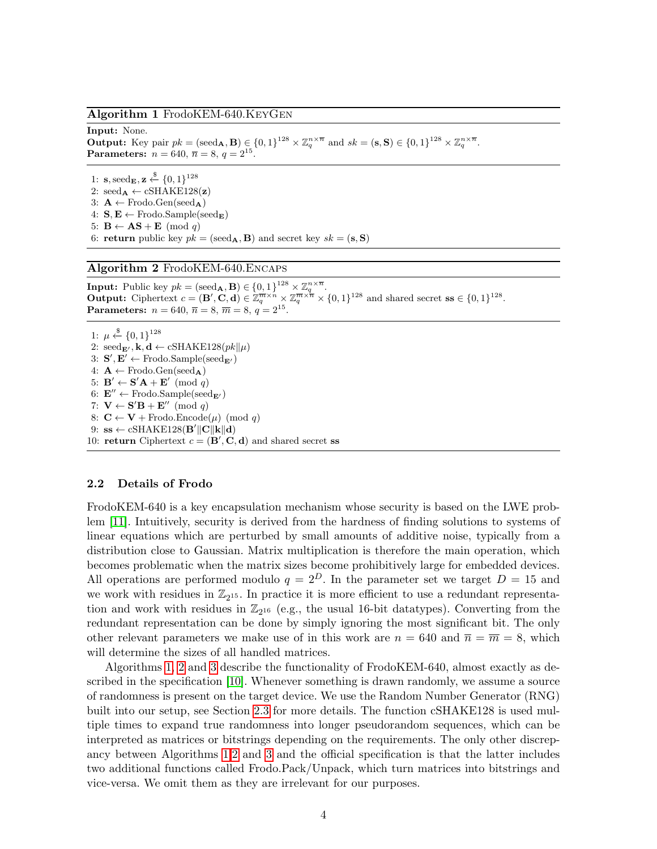#### <span id="page-3-1"></span>Algorithm 1 FrodoKEM-640.KeyGen

#### Input: None.

**Output:** Key pair  $pk = (\text{seed}_A, B) \in \{0, 1\}^{128} \times \mathbb{Z}_q^{n \times \overline{n}}$  and  $sk = (\mathbf{s}, \mathbf{S}) \in \{0, 1\}^{128} \times \mathbb{Z}_q^{n \times \overline{n}}$ . **Parameters:**  $n = 640, \bar{n} = 8, q = 2^{15}$ .

1:  $\mathbf{s}$ ,  $\operatorname{seed}_{\mathbf{E}}, \mathbf{z} \stackrel{\$}{\leftarrow} \{0, 1\}^{128}$ 2:  $\text{seed}_{\mathbf{A}} \leftarrow \text{cSHAKE128}(\mathbf{z})$ 3:  $A \leftarrow$  Frodo.Gen(seed<sub>A</sub>) 4:  $S, E \leftarrow$  Frodo.Sample(seed<sub>E</sub>) 5:  $B \leftarrow AS + E \pmod{q}$ 6: return public key  $pk = (seed_A, B)$  and secret key  $sk = (s, S)$ 

#### <span id="page-3-2"></span>Algorithm 2 FrodoKEM-640.Encaps

**Input:** Public key  $pk = (\text{seed}_{\mathbf{A}}, \mathbf{B}) \in \{0, 1\}^{128} \times \mathbb{Z}_q^{n \times \overline{n}}$ . **Output:** Ciphertext  $c = (\mathbf{B}', \mathbf{C}, \mathbf{d}) \in \mathbb{Z}_q^{\overline{m} \times \overline{n}} \times \mathbb{Z}_q^{\overline{m} \times \overline{n}} \times \{0, 1\}^{128}$  and shared secret  $\mathbf{ss} \in \{0, 1\}^{128}$ . **Parameters:**  $n = 640, \overline{n} = 8, \overline{m} = 8, q = 2^{15}$ .

1:  $\mu \stackrel{\$}{\leftarrow} \{0,1\}^{128}$ 2:  $\text{seed}_{\mathbf{E}'}, \mathbf{k}, \mathbf{d} \leftarrow \text{cSHAKE128}(pk||\mu)$ 3:  $S', E' \leftarrow$  Frodo.Sample(seed<sub>E'</sub>) 4:  $A \leftarrow$  Frodo.Gen(seed<sub>A</sub>) 5:  $\mathbf{B}' \leftarrow \mathbf{S}'\mathbf{A} + \mathbf{E}' \pmod{q}$ 6:  $\mathbf{E}'' \leftarrow$  Frodo.Sample(seed<sub>E'</sub>) 7:  $\mathbf{V} \leftarrow \mathbf{S}'\mathbf{B} + \mathbf{E}'' \pmod{q}$ 8:  $\mathbf{C} \leftarrow \mathbf{V} + \text{Frodo}.\text{Encode}(\mu) \pmod{q}$ 9:  $\text{ss} \leftarrow \text{cSHAKE128}(\mathbf{B}' \|\mathbf{C}\|\mathbf{k}\|\mathbf{d})$ 10: return Ciphertext  $c = (\mathbf{B}', \mathbf{C}, \mathbf{d})$  and shared secret ss

### <span id="page-3-0"></span>2.2 Details of Frodo

FrodoKEM-640 is a key encapsulation mechanism whose security is based on the LWE problem [\[11\]](#page-19-1). Intuitively, security is derived from the hardness of finding solutions to systems of linear equations which are perturbed by small amounts of additive noise, typically from a distribution close to Gaussian. Matrix multiplication is therefore the main operation, which becomes problematic when the matrix sizes become prohibitively large for embedded devices. All operations are performed modulo  $q = 2^D$ . In the parameter set we target  $D = 15$  and we work with residues in  $\mathbb{Z}_{2^{15}}$ . In practice it is more efficient to use a redundant representation and work with residues in  $\mathbb{Z}_{2^{16}}$  (e.g., the usual 16-bit datatypes). Converting from the redundant representation can be done by simply ignoring the most significant bit. The only other relevant parameters we make use of in this work are  $n = 640$  and  $\overline{n} = \overline{m} = 8$ , which will determine the sizes of all handled matrices.

Algorithms [1,](#page-3-1) [2](#page-3-2) and [3](#page-4-0) describe the functionality of FrodoKEM-640, almost exactly as described in the specification [\[10\]](#page-19-0). Whenever something is drawn randomly, we assume a source of randomness is present on the target device. We use the Random Number Generator (RNG) built into our setup, see Section [2.3](#page-5-0) for more details. The function cSHAKE128 is used multiple times to expand true randomness into longer pseudorandom sequences, which can be interpreted as matrices or bitstrings depending on the requirements. The only other discrepancy between Algorithms [1](#page-3-1)[,2](#page-3-2) and [3](#page-4-0) and the official specification is that the latter includes two additional functions called Frodo.Pack/Unpack, which turn matrices into bitstrings and vice-versa. We omit them as they are irrelevant for our purposes.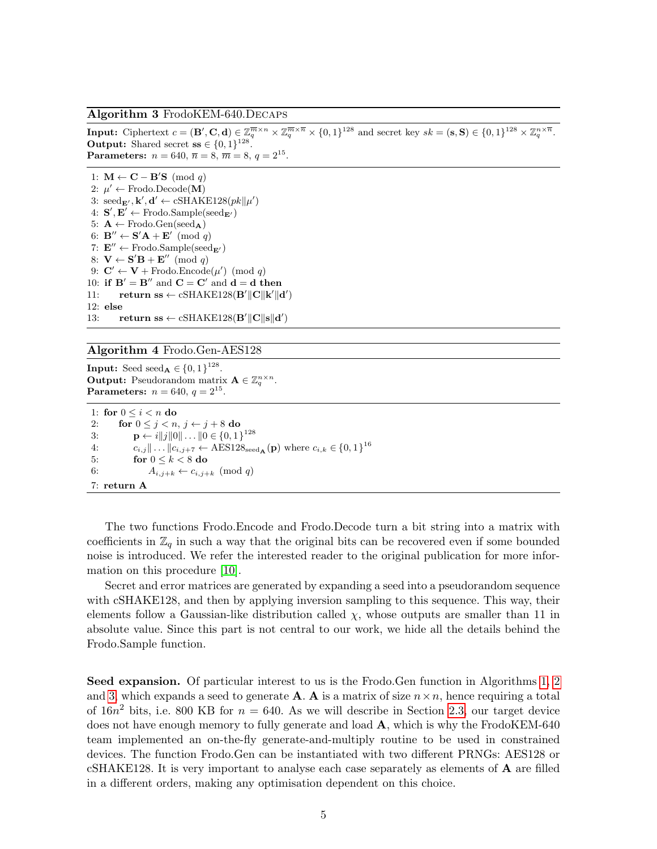#### <span id="page-4-0"></span>Algorithm 3 FrodoKEM-640.Decaps

**Input:** Ciphertext  $c = (\mathbf{B}', \mathbf{C}, \mathbf{d}) \in \mathbb{Z}_q^{\overline{m} \times n} \times \mathbb{Z}_q^{\overline{m} \times \overline{n}} \times \{0, 1\}^{128}$  and secret key  $sk = (\mathbf{s}, \mathbf{S}) \in \{0, 1\}^{128} \times \mathbb{Z}_q^{n \times \overline{n}}$ . **Output:** Shared secret  $\mathbf{s} \in \{0, 1\}^{128}$ . **Parameters:**  $n = 640, \, \overline{n} = 8, \, \overline{m} = 8, \, q = 2^{15}$ .

1:  $\mathbf{M} \leftarrow \mathbf{C} - \mathbf{B}'\mathbf{S} \pmod{q}$ 2:  $\mu' \leftarrow$  Frodo.Decode(M) 3:  $\text{seed}_{\mathbf{E}'}, \mathbf{k}', \mathbf{d}' \leftarrow \text{cSHAKE128}(pk||\mu')$ 4:  $S', E' \leftarrow$  Frodo.Sample(seed<sub>E'</sub>) 5:  $A \leftarrow$  Frodo.Gen(seed<sub>A</sub>) 6:  $\mathbf{B}^{\prime\prime} \leftarrow \mathbf{S}^{\prime} \mathbf{A} + \mathbf{E}^{\prime} \pmod{q}$ 7:  $\mathbf{E}'' \leftarrow$  Frodo.Sample(seed<sub>E'</sub>) 8:  $\mathbf{V} \leftarrow \mathbf{S}'\mathbf{B} + \mathbf{E}'' \pmod{q}$ 9:  $\mathbf{C}' \leftarrow \mathbf{V} + \text{Frodo}.\text{Encode}(\mu') \pmod{q}$ 10: if  $B' = B''$  and  $C = C'$  and  $d = d$  then 11: return ss  $\leftarrow$  cSHAKE128(**B'**||**C**||**k'**||**d'**) 12: else 13: return ss  $\leftarrow$  cSHAKE128(**B'**||**C**||s||d')

#### <span id="page-4-1"></span>Algorithm 4 Frodo.Gen-AES128

**Input:** Seed seed<sub>A</sub>  $\in \{0, 1\}^{128}$ . **Output:** Pseudorandom matrix  $\mathbf{A} \in \mathbb{Z}_q^{n \times n}$ . **Parameters:**  $n = 640, q = 2^{15}$ .

1: for  $0 \leq i < n$  do 2: for  $0 \leq j < n, j \leftarrow j + 8$  do 3:  $\mathbf{p} \leftarrow i||j||0|| \dots ||0 \in \{0, 1\}^{128}$ 4:  $c_{i,j} \| \dots \| c_{i,j+7} \leftarrow \text{AES128}_{\text{seed}_{\mathbf{A}}}(\mathbf{p}) \text{ where } c_{i,k} \in \{0,1\}^{16}$ 5: for  $0 \leq k < 8$  do 6:  $A_{i,j+k} \leftarrow c_{i,j+k} \pmod{q}$ 7: return A

The two functions Frodo.Encode and Frodo.Decode turn a bit string into a matrix with coefficients in  $\mathbb{Z}_q$  in such a way that the original bits can be recovered even if some bounded noise is introduced. We refer the interested reader to the original publication for more information on this procedure [\[10\]](#page-19-0).

Secret and error matrices are generated by expanding a seed into a pseudorandom sequence with cSHAKE128, and then by applying inversion sampling to this sequence. This way, their elements follow a Gaussian-like distribution called  $\chi$ , whose outputs are smaller than 11 in absolute value. Since this part is not central to our work, we hide all the details behind the Frodo.Sample function.

Seed expansion. Of particular interest to us is the Frodo.Gen function in Algorithms [1,](#page-3-1) [2](#page-3-2) and [3,](#page-4-0) which expands a seed to generate **A**. **A** is a matrix of size  $n \times n$ , hence requiring a total of  $16n^2$  bits, i.e. 800 KB for  $n = 640$ . As we will describe in Section [2.3,](#page-5-0) our target device does not have enough memory to fully generate and load **A**, which is why the FrodoKEM-640 team implemented an on-the-fly generate-and-multiply routine to be used in constrained devices. The function Frodo.Gen can be instantiated with two different PRNGs: AES128 or cSHAKE128. It is very important to analyse each case separately as elements of A are filled in a different orders, making any optimisation dependent on this choice.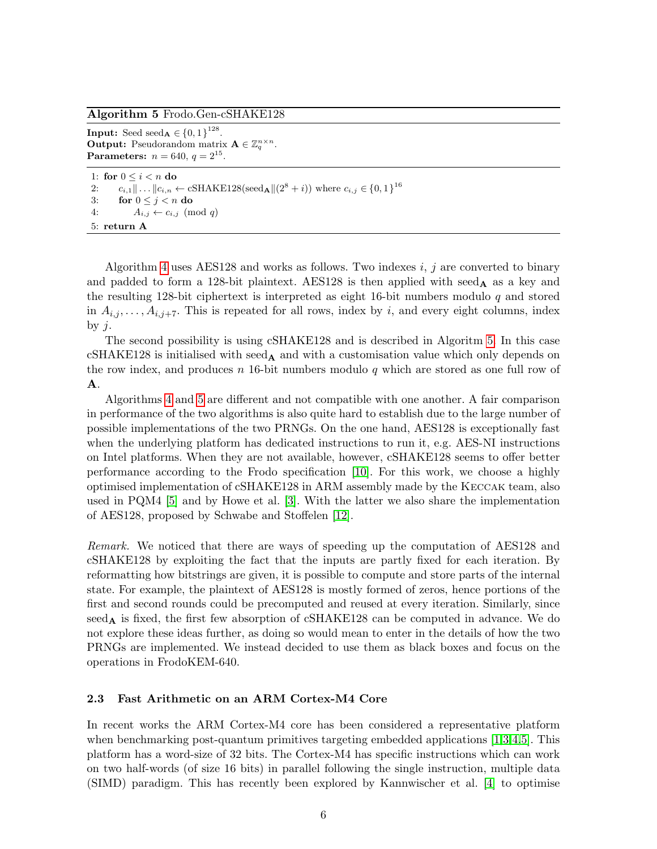### <span id="page-5-1"></span>Algorithm 5 Frodo.Gen-cSHAKE128

**Input:** Seed seed<sub>A</sub>  $\in \{0, 1\}^{128}$ . **Output:** Pseudorandom matrix  $\mathbf{A} \in \mathbb{Z}_q^{n \times n}$ . **Parameters:**  $n = 640, q = 2^{15}$ .

1: for  $0 \leq i < n$  do 2:  $c_{i,1} \| ... \| c_{i,n} \leftarrow \text{cSHAKE128}(\text{seed}_{\mathbf{A}} \| (2^8 + i)) \text{ where } c_{i,j} \in \{0,1\}^{16}$ 3: for  $0 \leq j < n$  do 4:  $A_{i,j} \leftarrow c_{i,j} \pmod{q}$ 5: return A

Algorithm [4](#page-4-1) uses AES128 and works as follows. Two indexes  $i, j$  are converted to binary and padded to form a 128-bit plaintext. AES128 is then applied with seed<sub>A</sub> as a key and the resulting 128-bit ciphertext is interpreted as eight 16-bit numbers modulo  $q$  and stored in  $A_{i,j}, \ldots, A_{i,j+7}$ . This is repeated for all rows, index by i, and every eight columns, index by  $j$ .

The second possibility is using cSHAKE128 and is described in Algoritm [5.](#page-5-1) In this case cSHAKE128 is initialised with seed<sub>A</sub> and with a customisation value which only depends on the row index, and produces n 16-bit numbers modulo q which are stored as one full row of A.

Algorithms [4](#page-4-1) and [5](#page-5-1) are different and not compatible with one another. A fair comparison in performance of the two algorithms is also quite hard to establish due to the large number of possible implementations of the two PRNGs. On the one hand, AES128 is exceptionally fast when the underlying platform has dedicated instructions to run it, e.g. AES-NI instructions on Intel platforms. When they are not available, however, cSHAKE128 seems to offer better performance according to the Frodo specification [\[10\]](#page-19-0). For this work, we choose a highly optimised implementation of cSHAKE128 in ARM assembly made by the Keccak team, also used in PQM4 [\[5\]](#page-19-5) and by Howe et al. [\[3\]](#page-19-4). With the latter we also share the implementation of AES128, proposed by Schwabe and Stoffelen [\[12\]](#page-19-8).

Remark. We noticed that there are ways of speeding up the computation of AES128 and cSHAKE128 by exploiting the fact that the inputs are partly fixed for each iteration. By reformatting how bitstrings are given, it is possible to compute and store parts of the internal state. For example, the plaintext of AES128 is mostly formed of zeros, hence portions of the first and second rounds could be precomputed and reused at every iteration. Similarly, since  $seed_A$  is fixed, the first few absorption of cSHAKE128 can be computed in advance. We do not explore these ideas further, as doing so would mean to enter in the details of how the two PRNGs are implemented. We instead decided to use them as black boxes and focus on the operations in FrodoKEM-640.

### <span id="page-5-0"></span>2.3 Fast Arithmetic on an ARM Cortex-M4 Core

In recent works the ARM Cortex-M4 core has been considered a representative platform when benchmarking post-quantum primitives targeting embedded applications [\[1,](#page-19-7)[3](#page-19-4)[,4,](#page-19-6)[5\]](#page-19-5). This platform has a word-size of 32 bits. The Cortex-M4 has specific instructions which can work on two half-words (of size 16 bits) in parallel following the single instruction, multiple data (SIMD) paradigm. This has recently been explored by Kannwischer et al. [\[4\]](#page-19-6) to optimise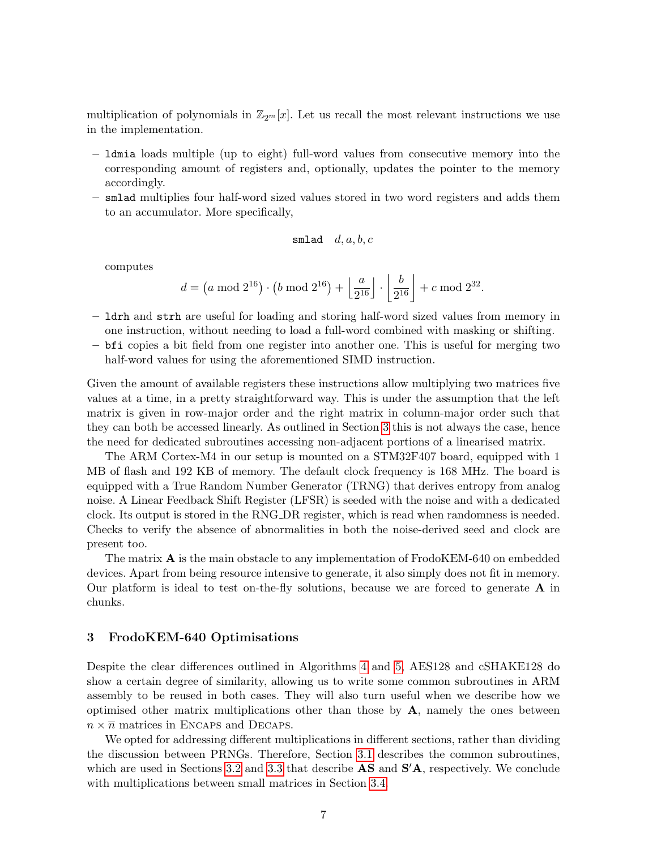multiplication of polynomials in  $\mathbb{Z}_{2m}[x]$ . Let us recall the most relevant instructions we use in the implementation.

- ldmia loads multiple (up to eight) full-word values from consecutive memory into the corresponding amount of registers and, optionally, updates the pointer to the memory accordingly.
- smlad multiplies four half-word sized values stored in two word registers and adds them to an accumulator. More specifically,

$$
\verb&smallad&d", a, b, c
$$

computes

$$
d = \left(a \bmod 2^{16}\right) \cdot \left(b \bmod 2^{16}\right) + \left\lfloor \frac{a}{2^{16}} \right\rfloor \cdot \left\lfloor \frac{b}{2^{16}} \right\rfloor + c \bmod 2^{32}.
$$

- ldrh and strh are useful for loading and storing half-word sized values from memory in one instruction, without needing to load a full-word combined with masking or shifting.
- bfi copies a bit field from one register into another one. This is useful for merging two half-word values for using the aforementioned SIMD instruction.

Given the amount of available registers these instructions allow multiplying two matrices five values at a time, in a pretty straightforward way. This is under the assumption that the left matrix is given in row-major order and the right matrix in column-major order such that they can both be accessed linearly. As outlined in Section [3](#page-6-0) this is not always the case, hence the need for dedicated subroutines accessing non-adjacent portions of a linearised matrix.

The ARM Cortex-M4 in our setup is mounted on a STM32F407 board, equipped with 1 MB of flash and 192 KB of memory. The default clock frequency is 168 MHz. The board is equipped with a True Random Number Generator (TRNG) that derives entropy from analog noise. A Linear Feedback Shift Register (LFSR) is seeded with the noise and with a dedicated clock. Its output is stored in the RNG DR register, which is read when randomness is needed. Checks to verify the absence of abnormalities in both the noise-derived seed and clock are present too.

The matrix A is the main obstacle to any implementation of FrodoKEM-640 on embedded devices. Apart from being resource intensive to generate, it also simply does not fit in memory. Our platform is ideal to test on-the-fly solutions, because we are forced to generate  $\bf{A}$  in chunks.

# <span id="page-6-0"></span>3 FrodoKEM-640 Optimisations

Despite the clear differences outlined in Algorithms [4](#page-4-1) and [5,](#page-5-1) AES128 and cSHAKE128 do show a certain degree of similarity, allowing us to write some common subroutines in ARM assembly to be reused in both cases. They will also turn useful when we describe how we optimised other matrix multiplications other than those by  $A$ , namely the ones between  $n \times \overline{n}$  matrices in ENCAPS and DECAPS.

We opted for addressing different multiplications in different sections, rather than dividing the discussion between PRNGs. Therefore, Section [3.1](#page-7-0) describes the common subroutines, which are used in Sections [3.2](#page-9-0) and [3.3](#page-9-1) that describe  $\mathbf{AS}$  and  $\mathbf{S}'\mathbf{A}$ , respectively. We conclude with multiplications between small matrices in Section [3.4.](#page-11-0)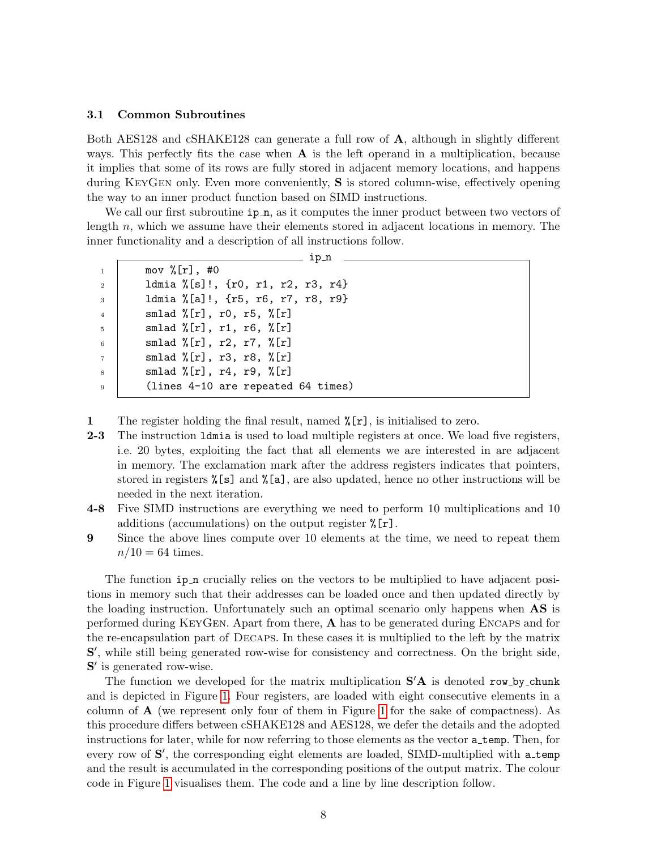#### <span id="page-7-0"></span>3.1 Common Subroutines

Both AES128 and cSHAKE128 can generate a full row of A, although in slightly different ways. This perfectly fits the case when  $A$  is the left operand in a multiplication, because it implies that some of its rows are fully stored in adjacent memory locations, and happens during KeyGen only. Even more conveniently, S is stored column-wise, effectively opening the way to an inner product function based on SIMD instructions.

We call our first subroutine  $ip_n$ , as it computes the inner product between two vectors of length n, which we assume have their elements stored in adjacent locations in memory. The inner functionality and a description of all instructions follow.

|                 | ip_n                                        |  |
|-----------------|---------------------------------------------|--|
| $\mathbf{1}$    | mov $\sqrt[n]{r}$ , #0                      |  |
| $\overline{2}$  | ldmia %[s]!, {r0, r1, r2, r3, r4}           |  |
| $\overline{3}$  | ldmia %[a]!, {r5, r6, r7, r8, r9}           |  |
| $\overline{4}$  | smlad $\sqrt[n]{r}$ , r0, r5, $\sqrt[n]{r}$ |  |
| $5\overline{a}$ | smlad $\sqrt[n]{r}$ , r1, r6, $\sqrt[n]{r}$ |  |
| $6\phantom{1}$  | smlad $\sqrt[n]{r}$ , r2, r7, $\sqrt[n]{r}$ |  |
| $\overline{7}$  | smlad $\sqrt[n]{r}$ , r3, r8, $\sqrt[n]{r}$ |  |
| 8               | smlad $\sqrt[k]{r}$ , r4, r9, $\sqrt[k]{r}$ |  |
| $\overline{9}$  | (lines 4-10 are repeated 64 times)          |  |
|                 |                                             |  |

1 The register holding the final result, named  $\mathcal{K}[\mathbf{r}]$ , is initialised to zero.

- 2-3 The instruction 1 dmia is used to load multiple registers at once. We load five registers, i.e. 20 bytes, exploiting the fact that all elements we are interested in are adjacent in memory. The exclamation mark after the address registers indicates that pointers, stored in registers %[s] and %[a], are also updated, hence no other instructions will be needed in the next iteration.
- 4-8 Five SIMD instructions are everything we need to perform 10 multiplications and 10 additions (accumulations) on the output register %[r].
- 9 Since the above lines compute over 10 elements at the time, we need to repeat them  $n/10 = 64$  times.

The function  $ip_n$  crucially relies on the vectors to be multiplied to have adjacent positions in memory such that their addresses can be loaded once and then updated directly by the loading instruction. Unfortunately such an optimal scenario only happens when **AS** is performed during KEYGEN. Apart from there,  $\bf{A}$  has to be generated during ENCAPS and for the re-encapsulation part of Decaps. In these cases it is multiplied to the left by the matrix S', while still being generated row-wise for consistency and correctness. On the bright side, S' is generated row-wise.

The function we developed for the matrix multiplication  $S'A$  is denoted row by chunk and is depicted in Figure [1.](#page-8-0) Four registers, are loaded with eight consecutive elements in a column of  $A$  (we represent only four of them in Figure [1](#page-8-0) for the sake of compactness). As this procedure differs between cSHAKE128 and AES128, we defer the details and the adopted instructions for later, while for now referring to those elements as the vector **a** temp. Then, for every row of S', the corresponding eight elements are loaded, SIMD-multiplied with a\_temp and the result is accumulated in the corresponding positions of the output matrix. The colour code in Figure [1](#page-8-0) visualises them. The code and a line by line description follow.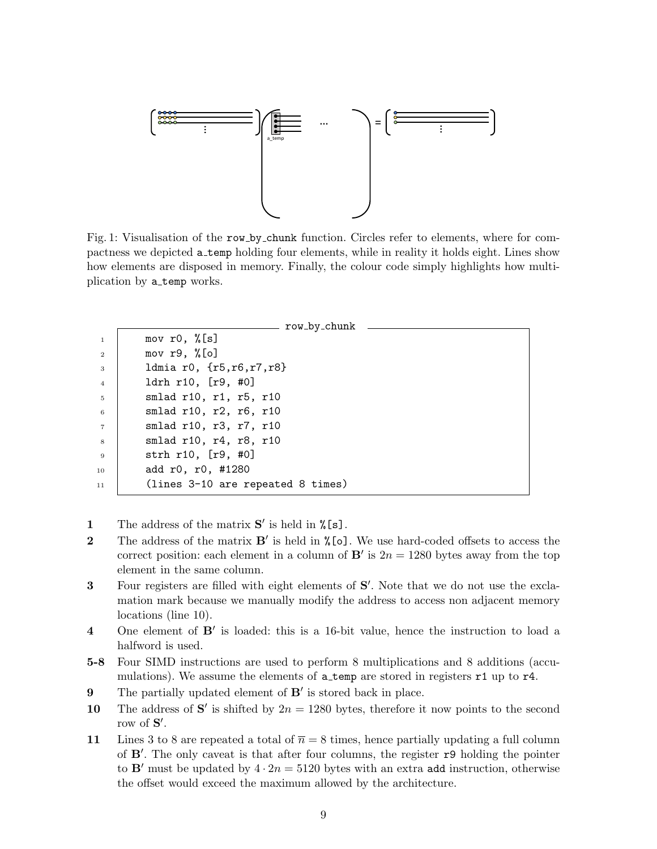<span id="page-8-0"></span>

Fig. 1: Visualisation of the row by chunk function. Circles refer to elements, where for compactness we depicted a temp holding four elements, while in reality it holds eight. Lines show how elements are disposed in memory. Finally, the colour code simply highlights how multiplication by a temp works.

|                 | row_by_chunk                      |
|-----------------|-----------------------------------|
| $\overline{1}$  | mov r0, $\sqrt[n]{[s]}$           |
| <sup>2</sup>    | mov $r9, %[o]$                    |
| $\mathbf{3}$    | 1dmia r0, $\{r5, r6, r7, r8\}$    |
| $\overline{4}$  | ldrh r10, [r9, #0]                |
| $5\overline{5}$ | smlad r10, r1, r5, r10            |
| 6               | smlad r10, r2, r6, r10            |
| $\overline{7}$  | smlad r10, r3, r7, r10            |
| $\mathbf{8}$    | smlad r10, r4, r8, r10            |
| $\overline{9}$  | strh r10, [r9, #0]                |
| 10              | add r0, r0, #1280                 |
| 11              | (lines 3-10 are repeated 8 times) |
|                 |                                   |

- 1 The address of the matrix  $S'$  is held in  $\sqrt[n]{[s]}$ .
- **2** The address of the matrix  $B'$  is held in  $\sqrt[n]{\text{[o]}}$ . We use hard-coded offsets to access the correct position: each element in a column of  $\mathbf{B}'$  is  $2n = 1280$  bytes away from the top element in the same column.
- 3 Four registers are filled with eight elements of S'. Note that we do not use the exclamation mark because we manually modify the address to access non adjacent memory locations (line 10).
- 4 One element of **B'** is loaded: this is a 16-bit value, hence the instruction to load a halfword is used.
- 5-8 Four SIMD instructions are used to perform 8 multiplications and 8 additions (accumulations). We assume the elements of  $a$ -temp are stored in registers  $r1$  up to  $r4$ .
- **9** The partially updated element of  $B'$  is stored back in place.
- 10 The address of S' is shifted by  $2n = 1280$  bytes, therefore it now points to the second row of  $S'$ .
- 11 Lines 3 to 8 are repeated a total of  $\bar{n} = 8$  times, hence partially updating a full column of B'. The only caveat is that after four columns, the register r9 holding the pointer to B' must be updated by  $4 \cdot 2n = 5120$  bytes with an extra add instruction, otherwise the offset would exceed the maximum allowed by the architecture.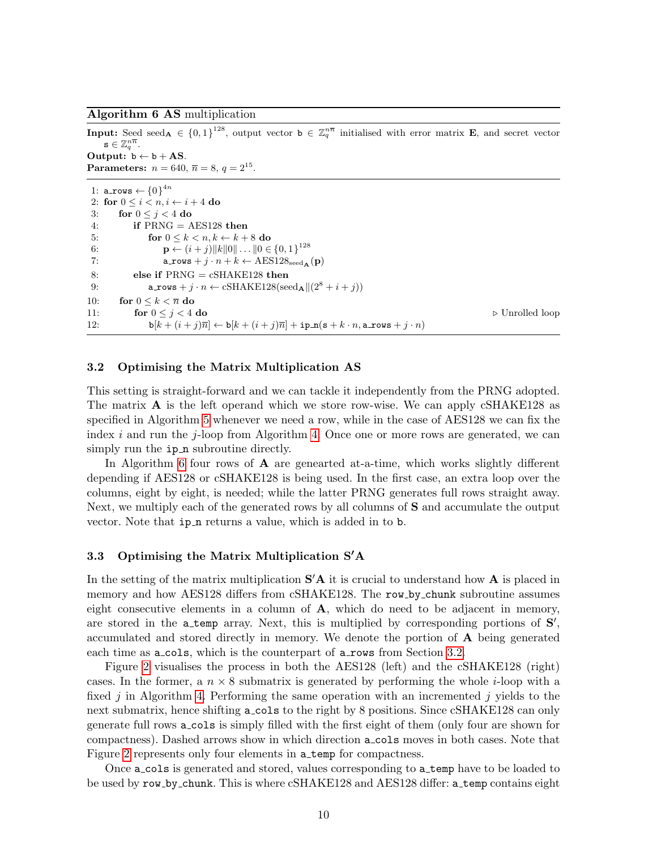<span id="page-9-2"></span>Algorithm 6 AS multiplication

**Input:** Seed seed<sub>A</sub>  $\in \{0,1\}^{128}$ , output vector  $\mathbf{b} \in \mathbb{Z}_q^{n\overline{n}}$  initialised with error matrix **E**, and secret vector  $\mathtt{s} \in \mathbb{Z}_q^{n\overline{n}}.$ Output:  $b \leftarrow b + AS$ . Parameters:  $n = 640, \bar{n} = 8, q = 2^{15}$ . 1: a\_rows  $\leftarrow$   $\left\{0\right\}^{4n}$ 2: for  $0 \leq i < n, i \leftarrow i + 4$  do 3: for  $0 \leq j \leq 4$  do 4: if  $PRNG = AES128$  then 5: for  $0 \leq k \leq n, k \leftarrow k + 8$  do 6:  $\mathbf{p} \leftarrow (i+j)\|k\|0\| \dots \|0 \in \{0,1\}^{128}$ 7:  $a_{\texttt{rows}} + j \cdot n + k \leftarrow \text{AES128}_{\text{seed}_{\mathbf{A}}}(\mathbf{p})$ 8: else if  $PRNG = cSHAKE128$  then 9: <br> a\_rows +  $j \cdot n \leftarrow \text{cSHAKE128}(\text{seed}_{\mathbf{A}} || (2^8 + i + j))$ 10: for  $0 \leq k < \overline{n}$  do 11: **for**  $0 \leq j < 4$  **do** . Unrolled loop 12:  $\mathbf{b}[k + (i + j)\overline{n}] \leftarrow \mathbf{b}[k + (i + j)\overline{n}] + \mathbf{ip} \cdot \mathbf{n}(\mathbf{s} + k \cdot n, \mathbf{a} \cdot \mathbf{rows} + j \cdot n)$ 

### <span id="page-9-0"></span>3.2 Optimising the Matrix Multiplication AS

This setting is straight-forward and we can tackle it independently from the PRNG adopted. The matrix  $\bf{A}$  is the left operand which we store row-wise. We can apply cSHAKE128 as specified in Algorithm [5](#page-5-1) whenever we need a row, while in the case of AES128 we can fix the index  $i$  and run the  $j$ -loop from Algorithm [4.](#page-4-1) Once one or more rows are generated, we can simply run the  $ip_n$  subroutine directly.

In Algorithm [6](#page-9-2) four rows of  $\bf{A}$  are genearted at-a-time, which works slightly different depending if AES128 or cSHAKE128 is being used. In the first case, an extra loop over the columns, eight by eight, is needed; while the latter PRNG generates full rows straight away. Next, we multiply each of the generated rows by all columns of S and accumulate the output vector. Note that ip n returns a value, which is added in to b.

### <span id="page-9-1"></span>3.3 Optimising the Matrix Multiplication  $S'A$

In the setting of the matrix multiplication  $S'A$  it is crucial to understand how A is placed in memory and how AES128 differs from cSHAKE128. The row\_by\_chunk subroutine assumes eight consecutive elements in a column of  $A$ , which do need to be adjacent in memory, are stored in the  $a$ -temp array. Next, this is multiplied by corresponding portions of  $S'$ , accumulated and stored directly in memory. We denote the portion of A being generated each time as **a\_cols**, which is the counterpart of **a\_rows** from Section [3.2.](#page-9-0)

Figure [2](#page-10-0) visualises the process in both the AES128 (left) and the cSHAKE128 (right) cases. In the former, a  $n \times 8$  submatrix is generated by performing the whole *i*-loop with a fixed  $j$  in Algorithm [4.](#page-4-1) Performing the same operation with an incremented  $j$  yields to the next submatrix, hence shifting a cols to the right by 8 positions. Since cSHAKE128 can only generate full rows a cols is simply filled with the first eight of them (only four are shown for compactness). Dashed arrows show in which direction a cols moves in both cases. Note that Figure [2](#page-10-0) represents only four elements in a temp for compactness.

Once **a** cols is generated and stored, values corresponding to **a** temp have to be loaded to be used by row by chunk. This is where cSHAKE128 and AES128 differ: a temp contains eight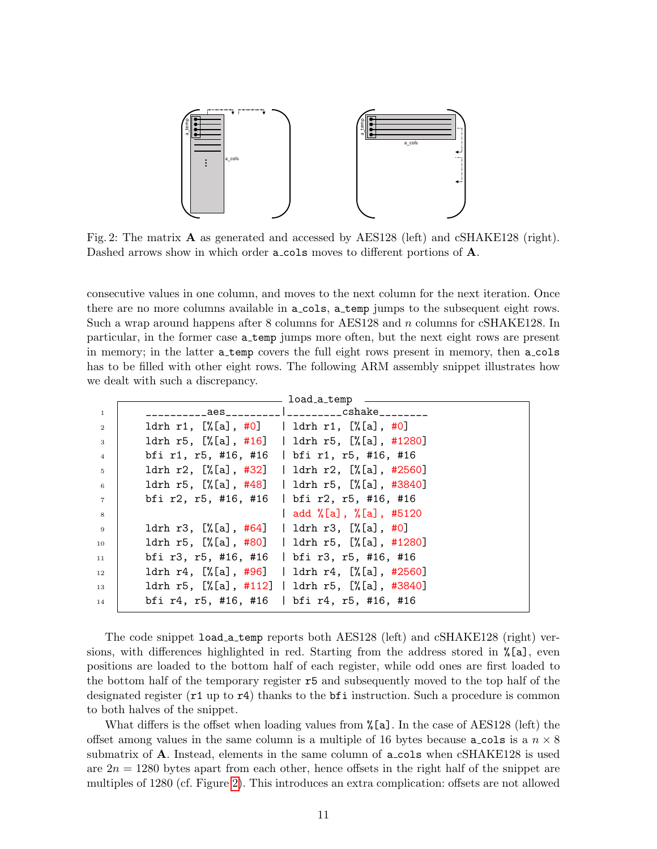<span id="page-10-0"></span>

Fig. 2: The matrix  $\bf{A}$  as generated and accessed by AES128 (left) and cSHAKE128 (right). Dashed arrows show in which order **a\_cols** moves to different portions of **A**.

consecutive values in one column, and moves to the next column for the next iteration. Once there are no more columns available in **a\_cols**, **a\_temp** jumps to the subsequent eight rows. Such a wrap around happens after 8 columns for AES128 and n columns for cSHAKE128. In particular, in the former case a temp jumps more often, but the next eight rows are present in memory; in the latter a temp covers the full eight rows present in memory, then a cols has to be filled with other eight rows. The following ARM assembly snippet illustrates how we dealt with such a discrepancy.

|                | load_a_temp                                                                          |
|----------------|--------------------------------------------------------------------------------------|
| $\mathbf{1}$   | _________aes__________ ___________cshake_________                                    |
| $\overline{2}$ | ldrh r1, $[\%$ [a], #0]   ldrh r1, $[\%$ [a], #0]                                    |
| 3              | ldrh r5, [%[a], #16]   ldrh r5, [%[a], #1280]                                        |
| $\overline{4}$ | bfi r1, r5, #16, #16   bfi r1, r5, #16, #16                                          |
| 5              | ldrh r2, [%[a], #32]   ldrh r2, [%[a], #2560]                                        |
| 6              | ldrh r5, [%[a], #48]   ldrh r5, [%[a], #3840]                                        |
| $\overline{7}$ | bfi r2, r5, #16, #16   bfi r2, r5, #16, #16                                          |
| 8              | add %[a], %[a], #5120                                                                |
| - 9            | 1drh r3, $[\frac{6}{12}, \frac{464}{1} ]$   1drh r3, $[\frac{6}{12}, \frac{40}{12}]$ |
| 10             | ldrh r5, [%[a], #80]   ldrh r5, [%[a], #1280]                                        |
| 11             | bfi r3, r5, #16, #16   bfi r3, r5, #16, #16                                          |
| 12             | ldrh r4, [%[a], #96]   ldrh r4, [%[a], #2560]                                        |
| 13             | ldrh r5, [%[a], #112]   ldrh r5, [%[a], #3840]                                       |
| 14             | bfi r4, r5, #16, #16   bfi r4, r5, #16, #16                                          |

The code snippet load a temp reports both AES128 (left) and cSHAKE128 (right) versions, with differences highlighted in red. Starting from the address stored in %[a], even positions are loaded to the bottom half of each register, while odd ones are first loaded to the bottom half of the temporary register r5 and subsequently moved to the top half of the designated register (r1 up to r4) thanks to the bfi instruction. Such a procedure is common to both halves of the snippet.

What differs is the offset when loading values from  $\chi$ [a]. In the case of AES128 (left) the offset among values in the same column is a multiple of 16 bytes because **a** cols is a  $n \times 8$ submatrix of **A**. Instead, elements in the same column of **a\_cols** when cSHAKE128 is used are  $2n = 1280$  bytes apart from each other, hence offsets in the right half of the snippet are multiples of 1280 (cf. Figure [2\)](#page-10-0). This introduces an extra complication: offsets are not allowed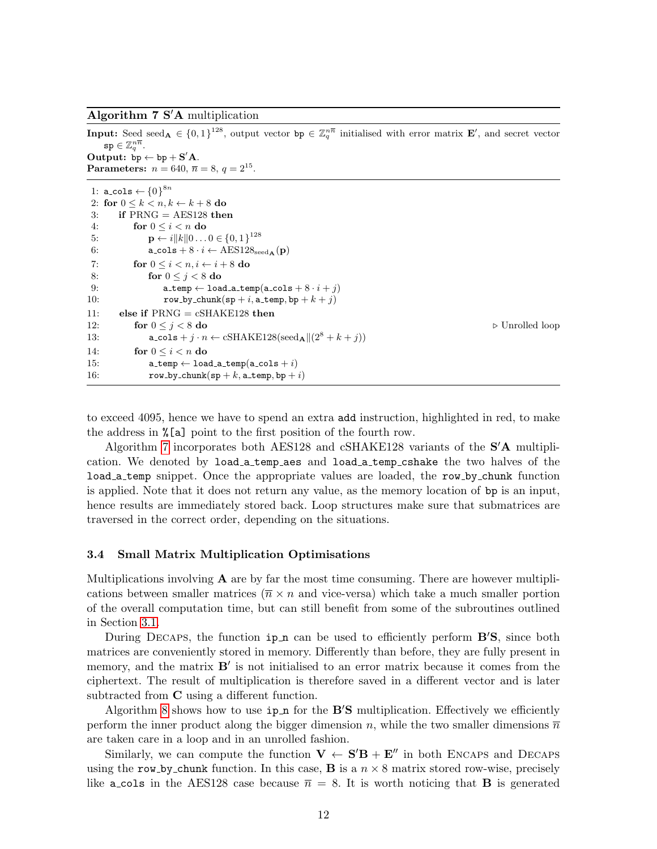<span id="page-11-1"></span>Algorithm  $7 S/A$  multiplication

|     | <b>Input:</b> Seed seed <sub>A</sub> $\in \{0,1\}^{128}$ , output vector bp $\in \mathbb{Z}_a^{n\overline{n}}$ initialised with error matrix <b>E'</b> , and secret vector |                                |  |  |  |  |  |
|-----|----------------------------------------------------------------------------------------------------------------------------------------------------------------------------|--------------------------------|--|--|--|--|--|
|     | $\texttt{sp} \in \mathbb{Z}_q^{nn}.$                                                                                                                                       |                                |  |  |  |  |  |
|     | Output: $bp \leftarrow bp + S'A$ .                                                                                                                                         |                                |  |  |  |  |  |
|     | <b>Parameters:</b> $n = 640$ , $\bar{n} = 8$ , $q = 2^{15}$ .                                                                                                              |                                |  |  |  |  |  |
|     | 1: a_cols $\leftarrow \{0\}^{8n}$                                                                                                                                          |                                |  |  |  |  |  |
|     | 2: for $0 \leq k \leq n, k \leftarrow k + 8$ do                                                                                                                            |                                |  |  |  |  |  |
| 3:  | if $PRNG = AES128$ then                                                                                                                                                    |                                |  |  |  |  |  |
| 4:  | for $0 \leq i \leq n$ do                                                                                                                                                   |                                |  |  |  |  |  |
| 5:  | $\mathbf{p} \leftarrow i   k   0 \dots 0 \in \{0, 1\}^{128}$                                                                                                               |                                |  |  |  |  |  |
| 6:  | $\texttt{a-cols} + 8 \cdot i \leftarrow \text{AES128}_{\text{seed}\,\text{A}}(\textbf{p})$                                                                                 |                                |  |  |  |  |  |
| 7:  | for $0 \leq i \leq n, i \leftarrow i + 8$ do                                                                                                                               |                                |  |  |  |  |  |
| 8:  | for $0 \leq i \leq 8$ do                                                                                                                                                   |                                |  |  |  |  |  |
| 9:  | $\mathtt{a}$ _temp $\leftarrow$ load_a_temp(a_cols + $8 \cdot i + j$ )                                                                                                     |                                |  |  |  |  |  |
| 10: | row_by_chunk(sp + i, a_temp, bp + $k + j$ )                                                                                                                                |                                |  |  |  |  |  |
| 11: | else if $PRNG = cSHAKE128$ then                                                                                                                                            |                                |  |  |  |  |  |
| 12: | for $0 \leq j \leq 8$ do                                                                                                                                                   | $\triangleright$ Unrolled loop |  |  |  |  |  |
| 13: | $\texttt{a_cols} + j \cdot n \leftarrow \text{cSHAKE128}(\text{seed}_{\mathbf{A}}    (2^8 + k + j))$                                                                       |                                |  |  |  |  |  |
| 14: | for $0 \leq i \leq n$ do                                                                                                                                                   |                                |  |  |  |  |  |
| 15: | $\mathtt{a}\_\mathtt{temp} \leftarrow \mathtt{load}\_\mathtt{a}\_\mathtt{temp}(\mathtt{a}\_\mathtt{cols} + i)$                                                             |                                |  |  |  |  |  |
| 16: | row_by_chunk(sp + k, a_temp, bp + i)                                                                                                                                       |                                |  |  |  |  |  |
|     |                                                                                                                                                                            |                                |  |  |  |  |  |

to exceed 4095, hence we have to spend an extra add instruction, highlighted in red, to make the address in %[a] point to the first position of the fourth row.

Algorithm [7](#page-11-1) incorporates both AES128 and  $cSHAKE128$  variants of the  $S'A$  multiplication. We denoted by load a temp aes and load a temp cshake the two halves of the load a temp snippet. Once the appropriate values are loaded, the row by chunk function is applied. Note that it does not return any value, as the memory location of bp is an input, hence results are immediately stored back. Loop structures make sure that submatrices are traversed in the correct order, depending on the situations.

# <span id="page-11-0"></span>3.4 Small Matrix Multiplication Optimisations

Multiplications involving  $\bf{A}$  are by far the most time consuming. There are however multiplications between smaller matrices ( $\overline{n} \times n$  and vice-versa) which take a much smaller portion of the overall computation time, but can still benefit from some of the subroutines outlined in Section [3.1.](#page-7-0)

During DECAPS, the function  $ip_n$  can be used to efficiently perform  $B'S$ , since both matrices are conveniently stored in memory. Differently than before, they are fully present in memory, and the matrix  $B'$  is not initialised to an error matrix because it comes from the ciphertext. The result of multiplication is therefore saved in a different vector and is later subtracted from C using a different function.

Algorithm [8](#page-12-1) shows how to use  $ip_n$  for the **B'S** multiplication. Effectively we efficiently perform the inner product along the bigger dimension n, while the two smaller dimensions  $\overline{n}$ are taken care in a loop and in an unrolled fashion.

Similarly, we can compute the function  $V \leftarrow S'B + E''$  in both ENCAPS and DECAPS using the row-by-chunk function. In this case, **B** is a  $n \times 8$  matrix stored row-wise, precisely like **a** cols in the AES128 case because  $\bar{n} = 8$ . It is worth noticing that **B** is generated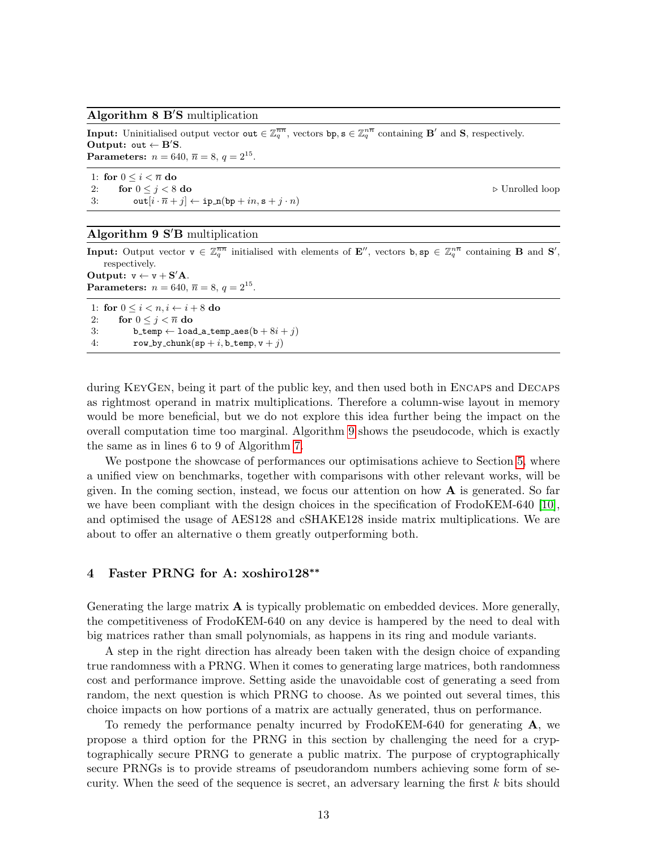#### <span id="page-12-1"></span>Algorithm  $8 \text{ B'S multiplication}$

**Input:** Uninitialised output vector out  $\in \mathbb{Z}_q^{\overline{n}\overline{n}}$ , vectors  $b$ p,  $s \in \mathbb{Z}_q^{n\overline{n}}$  containing  $B'$  and  $S$ , respectively. Output: out  $\leftarrow$  B'S. **Parameters:**  $n = 640, \bar{n} = 8, q = 2^{15}$ .

1: for  $0 \leq i < \overline{n}$  do 2: for  $0 \le j \le 8$  do  $\triangleright$  Unrolled loop 3:  $\text{out}[i \cdot \overline{n} + j] \leftarrow \text{ip\_n}(\text{bp} + in, \text{s} + j \cdot n)$ 

#### <span id="page-12-2"></span>Algorithm  $9 S'B$  multiplication

**Input:** Output vector  $\mathbf{v} \in \mathbb{Z}_q^{\overline{nn}}$  initialised with elements of  $\mathbf{E}''$ , vectors  $\mathbf{b}, \mathbf{sp} \in \mathbb{Z}_q^{\overline{n}}$  containing **B** and  $\mathbf{S}'$ , respectively. Output:  $v \leftarrow v + S'A$ .

Parameters:  $n = 640, \bar{n} = 8, q = 2^{15}$ .

1: for  $0 \leq i \leq n, i \leftarrow i + 8$  do 2: for  $0 \leq j < \overline{n}$  do 3: b\_temp  $\leftarrow$  load\_a\_temp\_aes(b + 8i + j) 4: row\_by\_chunk(sp + i, b\_temp,  $v + j$ )

during KEYGEN, being it part of the public key, and then used both in ENCAPS and DECAPS as rightmost operand in matrix multiplications. Therefore a column-wise layout in memory would be more beneficial, but we do not explore this idea further being the impact on the overall computation time too marginal. Algorithm [9](#page-12-2) shows the pseudocode, which is exactly the same as in lines 6 to 9 of Algorithm [7.](#page-11-1)

We postpone the showcase of performances our optimisations achieve to Section [5,](#page-14-0) where a unified view on benchmarks, together with comparisons with other relevant works, will be given. In the coming section, instead, we focus our attention on how  $\bf{A}$  is generated. So far we have been compliant with the design choices in the specification of FrodoKEM-640 [\[10\]](#page-19-0), and optimised the usage of AES128 and cSHAKE128 inside matrix multiplications. We are about to offer an alternative o them greatly outperforming both.

# <span id="page-12-0"></span>4 Faster PRNG for A: xoshiro128∗∗

Generating the large matrix A is typically problematic on embedded devices. More generally, the competitiveness of FrodoKEM-640 on any device is hampered by the need to deal with big matrices rather than small polynomials, as happens in its ring and module variants.

A step in the right direction has already been taken with the design choice of expanding true randomness with a PRNG. When it comes to generating large matrices, both randomness cost and performance improve. Setting aside the unavoidable cost of generating a seed from random, the next question is which PRNG to choose. As we pointed out several times, this choice impacts on how portions of a matrix are actually generated, thus on performance.

To remedy the performance penalty incurred by FrodoKEM-640 for generating  $\mathbf{A}$ , we propose a third option for the PRNG in this section by challenging the need for a cryptographically secure PRNG to generate a public matrix. The purpose of cryptographically secure PRNGs is to provide streams of pseudorandom numbers achieving some form of security. When the seed of the sequence is secret, an adversary learning the first k bits should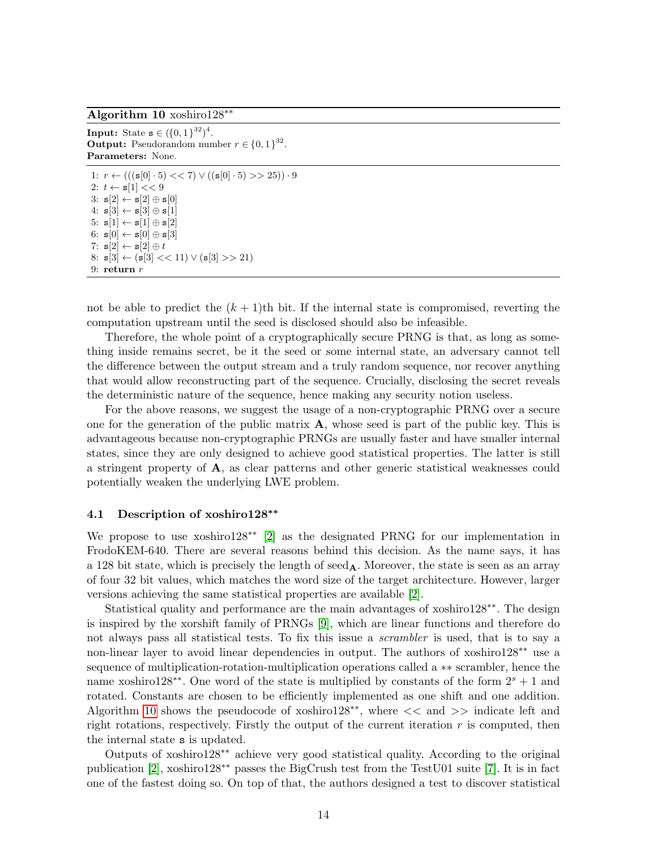<span id="page-13-0"></span>Algorithm 10 xoshiro128∗∗

**Input:** State  $s \in (\{0, 1\}^{32})^4$ . **Output:** Pseudorandom number  $r \in \{0,1\}^{32}$ . Parameters: None.

1:  $r \leftarrow (((\mathbf{s}[0] \cdot 5) << 7) \vee ((\mathbf{s}[0] \cdot 5) >> 25)) \cdot 9$ 2:  $t \leftarrow s[1] << 9$ 3:  $s[2] \leftarrow s[2] \oplus s[0]$ 4:  $s[3] \leftarrow s[3] \oplus s[1]$ 5:  $s[1] \leftarrow s[1] \oplus s[2]$ 6:  $\mathbf{s}[0] \leftarrow \mathbf{s}[0] \oplus \mathbf{s}[3]$ 7:  $s[2] \leftarrow s[2] \oplus t$ 8:  $s[3] \leftarrow (s[3] \leq 11) \vee (s[3] \geq 21)$ 9: return  $r$ 

not be able to predict the  $(k + 1)$ th bit. If the internal state is compromised, reverting the computation upstream until the seed is disclosed should also be infeasible.

Therefore, the whole point of a cryptographically secure PRNG is that, as long as something inside remains secret, be it the seed or some internal state, an adversary cannot tell the difference between the output stream and a truly random sequence, nor recover anything that would allow reconstructing part of the sequence. Crucially, disclosing the secret reveals the deterministic nature of the sequence, hence making any security notion useless.

For the above reasons, we suggest the usage of a non-cryptographic PRNG over a secure one for the generation of the public matrix  $\bf{A}$ , whose seed is part of the public key. This is advantageous because non-cryptographic PRNGs are usually faster and have smaller internal states, since they are only designed to achieve good statistical properties. The latter is still a stringent property of A, as clear patterns and other generic statistical weaknesses could potentially weaken the underlying LWE problem.

### 4.1 Description of xoshiro128∗∗

We propose to use xoshiro128∗∗ [\[2\]](#page-19-9) as the designated PRNG for our implementation in FrodoKEM-640. There are several reasons behind this decision. As the name says, it has a 128 bit state, which is precisely the length of  $\see d_{A}$ . Moreover, the state is seen as an array of four 32 bit values, which matches the word size of the target architecture. However, larger versions achieving the same statistical properties are available [\[2\]](#page-19-9).

Statistical quality and performance are the main advantages of xoshiro128∗∗. The design is inspired by the xorshift family of PRNGs [\[9\]](#page-19-10), which are linear functions and therefore do not always pass all statistical tests. To fix this issue a *scrambler* is used, that is to say a non-linear layer to avoid linear dependencies in output. The authors of xoshiro128∗∗ use a sequence of multiplication-rotation-multiplication operations called a ∗∗ scrambler, hence the name xoshiro128<sup>∗∗</sup>. One word of the state is multiplied by constants of the form  $2<sup>s</sup> + 1$  and rotated. Constants are chosen to be efficiently implemented as one shift and one addition. Algorithm [10](#page-13-0) shows the pseudocode of xoshiro128∗∗, where << and >> indicate left and right rotations, respectively. Firstly the output of the current iteration  $r$  is computed, then the internal state s is updated.

Outputs of xoshiro128∗∗ achieve very good statistical quality. According to the original publication [\[2\]](#page-19-9), xoshiro128∗∗ passes the BigCrush test from the TestU01 suite [\[7\]](#page-19-11). It is in fact one of the fastest doing so. On top of that, the authors designed a test to discover statistical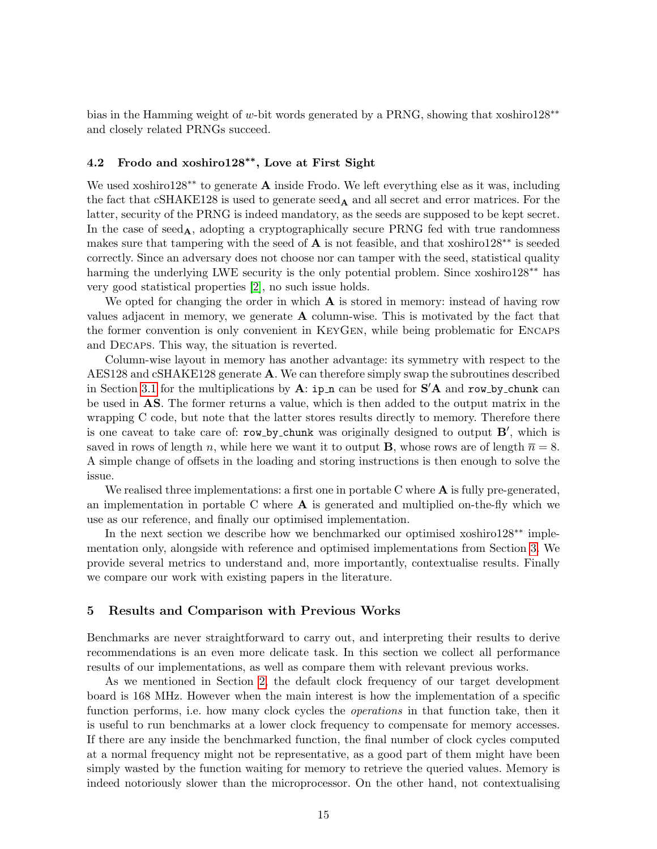bias in the Hamming weight of w-bit words generated by a PRNG, showing that xoshiro128∗∗ and closely related PRNGs succeed.

# 4.2 Frodo and xoshiro128∗∗, Love at First Sight

We used xoshiro128<sup>∗∗</sup> to generate **A** inside Frodo. We left everything else as it was, including the fact that  $cSHAKE128$  is used to generate seed<sub>A</sub> and all secret and error matrices. For the latter, security of the PRNG is indeed mandatory, as the seeds are supposed to be kept secret. In the case of  $\seed_{A}$ , adopting a cryptographically secure PRNG fed with true randomness makes sure that tampering with the seed of  $A$  is not feasible, and that xoshiro128<sup>\*\*</sup> is seeded correctly. Since an adversary does not choose nor can tamper with the seed, statistical quality harming the underlying LWE security is the only potential problem. Since xoshiro128∗∗ has very good statistical properties [\[2\]](#page-19-9), no such issue holds.

We opted for changing the order in which  $\bf{A}$  is stored in memory: instead of having row values adjacent in memory, we generate  $A$  column-wise. This is motivated by the fact that the former convention is only convenient in KeyGen, while being problematic for Encaps and Decaps. This way, the situation is reverted.

Column-wise layout in memory has another advantage: its symmetry with respect to the AES128 and cSHAKE128 generate A. We can therefore simply swap the subroutines described in Section [3.1](#page-7-0) for the multiplications by  $\mathbf{A}$ : ip  $\mathbf{n}$  can be used for  $\mathbf{S}'\mathbf{A}$  and row by chunk can be used in AS. The former returns a value, which is then added to the output matrix in the wrapping C code, but note that the latter stores results directly to memory. Therefore there is one caveat to take care of:  $row_by$ -chunk was originally designed to output  $B'$ , which is saved in rows of length n, while here we want it to output **B**, whose rows are of length  $\overline{n} = 8$ . A simple change of offsets in the loading and storing instructions is then enough to solve the issue.

We realised three implementations: a first one in portable C where  $\bf{A}$  is fully pre-generated, an implementation in portable  $C$  where  $A$  is generated and multiplied on-the-fly which we use as our reference, and finally our optimised implementation.

In the next section we describe how we benchmarked our optimised xoshiro128∗∗ implementation only, alongside with reference and optimised implementations from Section [3.](#page-6-0) We provide several metrics to understand and, more importantly, contextualise results. Finally we compare our work with existing papers in the literature.

### <span id="page-14-0"></span>5 Results and Comparison with Previous Works

Benchmarks are never straightforward to carry out, and interpreting their results to derive recommendations is an even more delicate task. In this section we collect all performance results of our implementations, as well as compare them with relevant previous works.

As we mentioned in Section [2,](#page-2-0) the default clock frequency of our target development board is 168 MHz. However when the main interest is how the implementation of a specific function performs, i.e. how many clock cycles the operations in that function take, then it is useful to run benchmarks at a lower clock frequency to compensate for memory accesses. If there are any inside the benchmarked function, the final number of clock cycles computed at a normal frequency might not be representative, as a good part of them might have been simply wasted by the function waiting for memory to retrieve the queried values. Memory is indeed notoriously slower than the microprocessor. On the other hand, not contextualising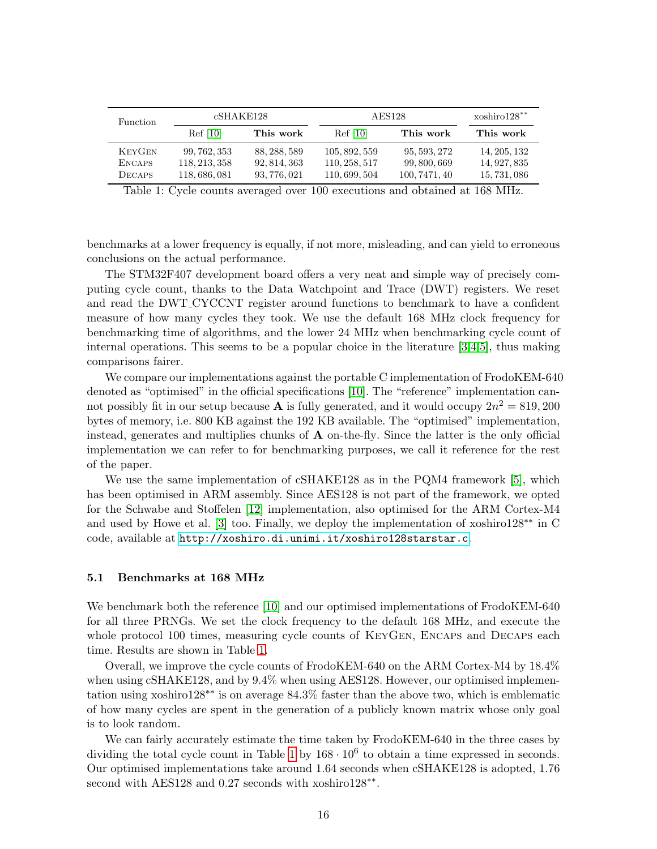<span id="page-15-0"></span>

| Function      | cSHAKE128     |              | AES128        |               | $xoshiro128**$ |
|---------------|---------------|--------------|---------------|---------------|----------------|
|               | Ref[10]       | This work    | Ref[10]       | This work     | This work      |
| <b>KEYGEN</b> | 99, 762, 353  | 88, 288, 589 | 105, 892, 559 | 95, 593, 272  | 14, 205, 132   |
| <b>ENCAPS</b> | 118, 213, 358 | 92, 814, 363 | 110, 258, 517 | 99, 800, 669  | 14, 927, 835   |
| <b>DECAPS</b> | 118,686,081   | 93, 776, 021 | 110, 699, 504 | 100, 7471, 40 | 15, 731, 086   |

Table 1: Cycle counts averaged over 100 executions and obtained at 168 MHz.

benchmarks at a lower frequency is equally, if not more, misleading, and can yield to erroneous conclusions on the actual performance.

The STM32F407 development board offers a very neat and simple way of precisely computing cycle count, thanks to the Data Watchpoint and Trace (DWT) registers. We reset and read the DWT CYCCNT register around functions to benchmark to have a confident measure of how many cycles they took. We use the default 168 MHz clock frequency for benchmarking time of algorithms, and the lower 24 MHz when benchmarking cycle count of internal operations. This seems to be a popular choice in the literature [\[3,](#page-19-4)[4,](#page-19-6)[5\]](#page-19-5), thus making comparisons fairer.

We compare our implementations against the portable C implementation of FrodoKEM-640 denoted as "optimised" in the official specifications [\[10\]](#page-19-0). The "reference" implementation cannot possibly fit in our setup because **A** is fully generated, and it would occupy  $2n^2 = 819,200$ bytes of memory, i.e. 800 KB against the 192 KB available. The "optimised" implementation, instead, generates and multiplies chunks of  $\bf{A}$  on-the-fly. Since the latter is the only official implementation we can refer to for benchmarking purposes, we call it reference for the rest of the paper.

We use the same implementation of cSHAKE128 as in the PQM4 framework [\[5\]](#page-19-5), which has been optimised in ARM assembly. Since AES128 is not part of the framework, we opted for the Schwabe and Stoffelen [\[12\]](#page-19-8) implementation, also optimised for the ARM Cortex-M4 and used by Howe et al. [\[3\]](#page-19-4) too. Finally, we deploy the implementation of xoshiro128∗∗ in C code, available at <http://xoshiro.di.unimi.it/xoshiro128starstar.c>.

# 5.1 Benchmarks at 168 MHz

We benchmark both the reference [\[10\]](#page-19-0) and our optimised implementations of FrodoKEM-640 for all three PRNGs. We set the clock frequency to the default 168 MHz, and execute the whole protocol 100 times, measuring cycle counts of KEYGEN, ENCAPS and DECAPS each time. Results are shown in Table [1.](#page-15-0)

Overall, we improve the cycle counts of FrodoKEM-640 on the ARM Cortex-M4 by 18.4% when using cSHAKE128, and by  $9.4\%$  when using AES128. However, our optimised implementation using xoshiro128∗∗ is on average 84.3% faster than the above two, which is emblematic of how many cycles are spent in the generation of a publicly known matrix whose only goal is to look random.

We can fairly accurately estimate the time taken by FrodoKEM-640 in the three cases by dividing the total cycle count in Table [1](#page-15-0) by  $168 \cdot 10^6$  to obtain a time expressed in seconds. Our optimised implementations take around 1.64 seconds when cSHAKE128 is adopted, 1.76 second with AES128 and 0.27 seconds with xoshiro128<sup>\*\*</sup>.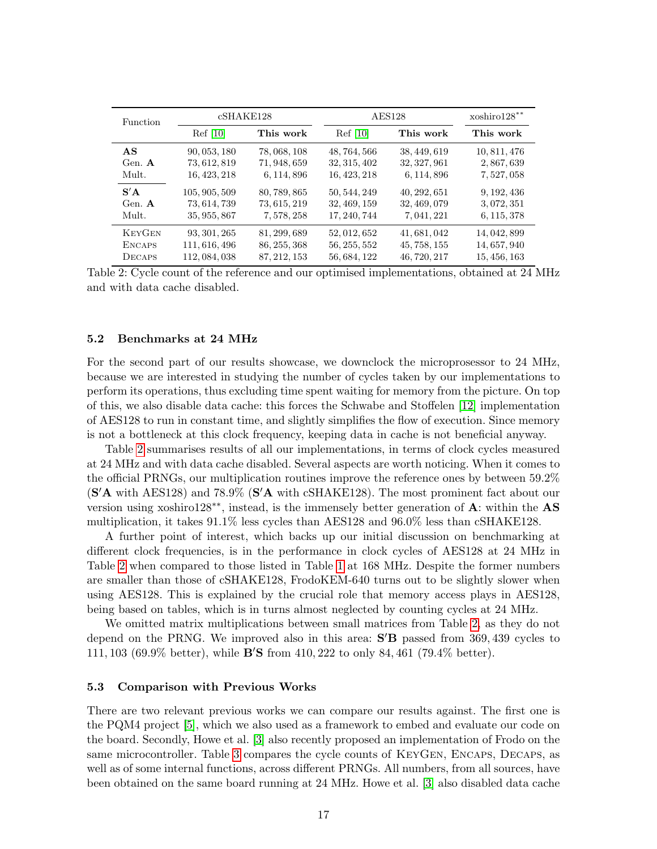<span id="page-16-0"></span>

| <b>Function</b> | cSHAKE128     |              | <b>AES128</b> |              | xoshiro128** |
|-----------------|---------------|--------------|---------------|--------------|--------------|
|                 | Ref [10]      | This work    | Ref[10]       | This work    | This work    |
| AS              | 90, 053, 180  | 78, 068, 108 | 48, 764, 566  | 38, 449, 619 | 10, 811, 476 |
| Gen. A          | 73, 612, 819  | 71, 948, 659 | 32, 315, 402  | 32, 327, 961 | 2,867,639    |
| Mult.           | 16, 423, 218  | 6, 114, 896  | 16, 423, 218  | 6, 114, 896  | 7,527,058    |
| S'A             | 105, 905, 509 | 80, 789, 865 | 50, 544, 249  | 40, 292, 651 | 9, 192, 436  |
| Gen. $A$        | 73, 614, 739  | 73, 615, 219 | 32, 469, 159  | 32, 469, 079 | 3,072,351    |
| Mult.           | 35, 955, 867  | 7, 578, 258  | 17, 240, 744  | 7, 041, 221  | 6, 115, 378  |
| <b>KEYGEN</b>   | 93, 301, 265  | 81, 299, 689 | 52, 012, 652  | 41, 681, 042 | 14, 042, 899 |
| <b>ENCAPS</b>   | 111, 616, 496 | 86, 255, 368 | 56, 255, 552  | 45, 758, 155 | 14, 657, 940 |
| DECAPS          | 112, 084, 038 | 87, 212, 153 | 56, 684, 122  | 46, 720, 217 | 15, 456, 163 |

Table 2: Cycle count of the reference and our optimised implementations, obtained at 24 MHz and with data cache disabled.

### 5.2 Benchmarks at 24 MHz

For the second part of our results showcase, we downclock the microprosessor to 24 MHz, because we are interested in studying the number of cycles taken by our implementations to perform its operations, thus excluding time spent waiting for memory from the picture. On top of this, we also disable data cache: this forces the Schwabe and Stoffelen [\[12\]](#page-19-8) implementation of AES128 to run in constant time, and slightly simplifies the flow of execution. Since memory is not a bottleneck at this clock frequency, keeping data in cache is not beneficial anyway.

Table [2](#page-16-0) summarises results of all our implementations, in terms of clock cycles measured at 24 MHz and with data cache disabled. Several aspects are worth noticing. When it comes to the official PRNGs, our multiplication routines improve the reference ones by between 59.2%  $(S'A$  with AES128) and 78.9%  $(S'A$  with cSHAKE128). The most prominent fact about our version using xoshiro $128$ <sup>∗∗</sup>, instead, is the immensely better generation of A: within the AS multiplication, it takes 91.1% less cycles than AES128 and 96.0% less than cSHAKE128.

A further point of interest, which backs up our initial discussion on benchmarking at different clock frequencies, is in the performance in clock cycles of AES128 at 24 MHz in Table [2](#page-16-0) when compared to those listed in Table [1](#page-15-0) at 168 MHz. Despite the former numbers are smaller than those of cSHAKE128, FrodoKEM-640 turns out to be slightly slower when using AES128. This is explained by the crucial role that memory access plays in AES128, being based on tables, which is in turns almost neglected by counting cycles at 24 MHz.

We omitted matrix multiplications between small matrices from Table [2,](#page-16-0) as they do not depend on the PRNG. We improved also in this area:  $S'B$  passed from 369, 439 cycles to 111, 103 (69.9% better), while  $\bf{B}'S$  from 410, 222 to only 84, 461 (79.4% better).

#### 5.3 Comparison with Previous Works

There are two relevant previous works we can compare our results against. The first one is the PQM4 project [\[5\]](#page-19-5), which we also used as a framework to embed and evaluate our code on the board. Secondly, Howe et al. [\[3\]](#page-19-4) also recently proposed an implementation of Frodo on the same microcontroller. Table [3](#page-17-0) compares the cycle counts of KeyGen, Encaps, Decaps, as well as of some internal functions, across different PRNGs. All numbers, from all sources, have been obtained on the same board running at 24 MHz. Howe et al. [\[3\]](#page-19-4) also disabled data cache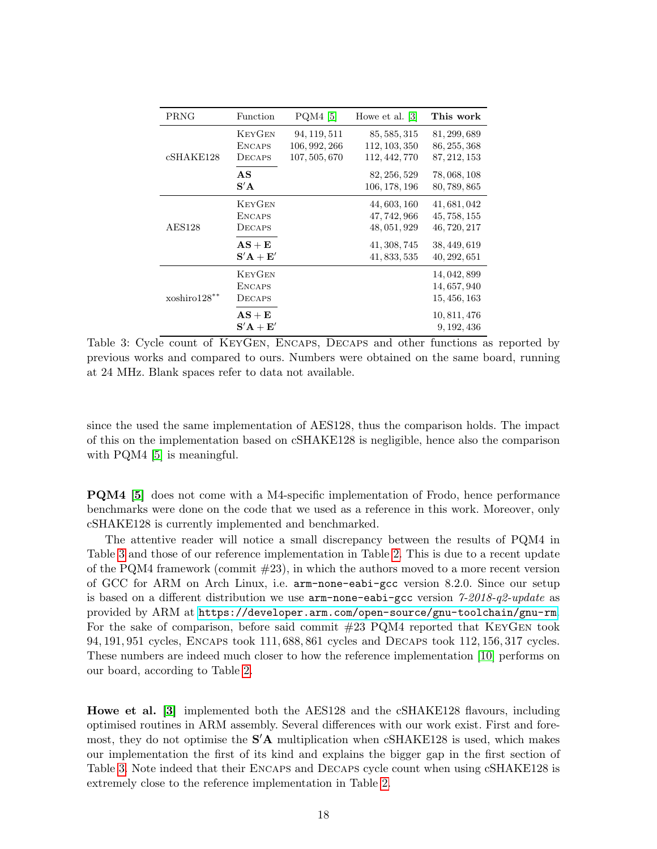<span id="page-17-0"></span>

| PRNG           | Function                                 | PQM4 [5]                                       | Howe et al. [3]                                | This work                                    |
|----------------|------------------------------------------|------------------------------------------------|------------------------------------------------|----------------------------------------------|
| cSHAKE128      | <b>KEYGEN</b><br><b>ENCAPS</b><br>DECAPS | 94, 119, 511<br>106, 992, 266<br>107, 505, 670 | 85, 585, 315<br>112, 103, 350<br>112, 442, 770 | 81, 299, 689<br>86, 255, 368<br>87, 212, 153 |
|                | AS<br>S'A                                |                                                | 82, 256, 529<br>106, 178, 196                  | 78, 068, 108<br>80, 789, 865                 |
| <b>AES128</b>  | <b>KEYGEN</b><br><b>ENCAPS</b><br>DECAPS |                                                | 44, 603, 160<br>47, 742, 966<br>48, 051, 929   | 41, 681, 042<br>45, 758, 155<br>46, 720, 217 |
|                | $AS + E$<br>$S'A + E'$                   |                                                | 41, 308, 745<br>41, 833, 535                   | 38, 449, 619<br>40, 292, 651                 |
| $xoshiro128**$ | <b>KEYGEN</b><br><b>ENCAPS</b><br>DECAPS |                                                |                                                | 14, 042, 899<br>14, 657, 940<br>15, 456, 163 |
|                | $\mathbf{AS}+\mathbf{E}$<br>$S'A + E'$   |                                                |                                                | 10, 811, 476<br>9, 192, 436                  |

Table 3: Cycle count of KeyGen, Encaps, Decaps and other functions as reported by previous works and compared to ours. Numbers were obtained on the same board, running at 24 MHz. Blank spaces refer to data not available.

since the used the same implementation of AES128, thus the comparison holds. The impact of this on the implementation based on cSHAKE128 is negligible, hence also the comparison with PQM4 [\[5\]](#page-19-5) is meaningful.

PQM4 [\[5\]](#page-19-5) does not come with a M4-specific implementation of Frodo, hence performance benchmarks were done on the code that we used as a reference in this work. Moreover, only cSHAKE128 is currently implemented and benchmarked.

The attentive reader will notice a small discrepancy between the results of PQM4 in Table [3](#page-17-0) and those of our reference implementation in Table [2.](#page-16-0) This is due to a recent update of the PQM4 framework (commit  $\#23$ ), in which the authors moved to a more recent version of GCC for ARM on Arch Linux, i.e. arm-none-eabi-gcc version 8.2.0. Since our setup is based on a different distribution we use  $arm-none-eabi-gcc$  version  $\frac{\gamma}{2018}q\frac{2\cdot u}{\sqrt{2}}$ provided by ARM at <https://developer.arm.com/open-source/gnu-toolchain/gnu-rm>. For the sake of comparison, before said commit #23 PQM4 reported that KeyGen took 94, 191, 951 cycles, Encaps took 111, 688, 861 cycles and Decaps took 112, 156, 317 cycles. These numbers are indeed much closer to how the reference implementation [\[10\]](#page-19-0) performs on our board, according to Table [2.](#page-16-0)

Howe et al. [\[3\]](#page-19-4) implemented both the AES128 and the cSHAKE128 flavours, including optimised routines in ARM assembly. Several differences with our work exist. First and foremost, they do not optimise the  $S'$ A multiplication when  $cSHAKE128$  is used, which makes our implementation the first of its kind and explains the bigger gap in the first section of Table [3.](#page-17-0) Note indeed that their ENCAPS and DECAPS cycle count when using cSHAKE128 is extremely close to the reference implementation in Table [2.](#page-16-0)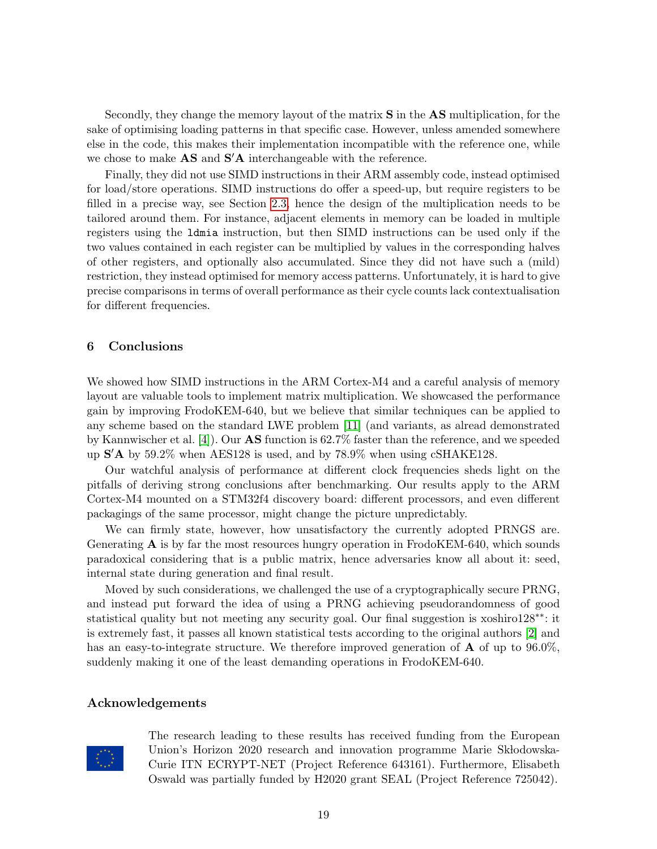Secondly, they change the memory layout of the matrix S in the AS multiplication, for the sake of optimising loading patterns in that specific case. However, unless amended somewhere else in the code, this makes their implementation incompatible with the reference one, while we chose to make  $\mathbf{AS}$  and  $\mathbf{S}'\mathbf{A}$  interchangeable with the reference.

Finally, they did not use SIMD instructions in their ARM assembly code, instead optimised for load/store operations. SIMD instructions do offer a speed-up, but require registers to be filled in a precise way, see Section [2.3,](#page-5-0) hence the design of the multiplication needs to be tailored around them. For instance, adjacent elements in memory can be loaded in multiple registers using the ldmia instruction, but then SIMD instructions can be used only if the two values contained in each register can be multiplied by values in the corresponding halves of other registers, and optionally also accumulated. Since they did not have such a (mild) restriction, they instead optimised for memory access patterns. Unfortunately, it is hard to give precise comparisons in terms of overall performance as their cycle counts lack contextualisation for different frequencies.

# <span id="page-18-0"></span>6 Conclusions

We showed how SIMD instructions in the ARM Cortex-M4 and a careful analysis of memory layout are valuable tools to implement matrix multiplication. We showcased the performance gain by improving FrodoKEM-640, but we believe that similar techniques can be applied to any scheme based on the standard LWE problem [\[11\]](#page-19-1) (and variants, as alread demonstrated by Kannwischer et al. [\[4\]](#page-19-6)). Our AS function is 62.7% faster than the reference, and we speeded up  $S'$  A by 59.2% when AES128 is used, and by 78.9% when using cSHAKE128.

Our watchful analysis of performance at different clock frequencies sheds light on the pitfalls of deriving strong conclusions after benchmarking. Our results apply to the ARM Cortex-M4 mounted on a STM32f4 discovery board: different processors, and even different packagings of the same processor, might change the picture unpredictably.

We can firmly state, however, how unsatisfactory the currently adopted PRNGS are. Generating  $\bf{A}$  is by far the most resources hungry operation in FrodoKEM-640, which sounds paradoxical considering that is a public matrix, hence adversaries know all about it: seed, internal state during generation and final result.

Moved by such considerations, we challenged the use of a cryptographically secure PRNG, and instead put forward the idea of using a PRNG achieving pseudorandomness of good statistical quality but not meeting any security goal. Our final suggestion is xoshiro128<sup>∗∗</sup>: it is extremely fast, it passes all known statistical tests according to the original authors [\[2\]](#page-19-9) and has an easy-to-integrate structure. We therefore improved generation of **A** of up to 96.0%, suddenly making it one of the least demanding operations in FrodoKEM-640.

### Acknowledgements



The research leading to these results has received funding from the European Union's Horizon 2020 research and innovation programme Marie Skłodowska-Curie ITN ECRYPT-NET (Project Reference 643161). Furthermore, Elisabeth Oswald was partially funded by H2020 grant SEAL (Project Reference 725042).